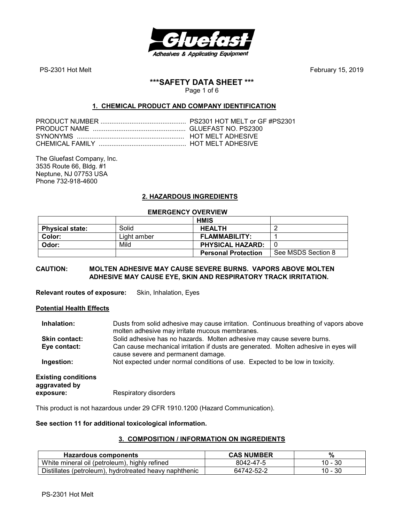

## **\*\*\*SAFETY DATA SHEET \*\*\***

Page 1 of 6

## **1. CHEMICAL PRODUCT AND COMPANY IDENTIFICATION**

The Gluefast Company, Inc. 3535 Route 66, Bldg. #1 Neptune, NJ 07753 USA Phone 732-918-4600

## **2. HAZARDOUS INGREDIENTS**

#### **EMERGENCY OVERVIEW**

|                        |             | <b>HMIS</b>                |                    |
|------------------------|-------------|----------------------------|--------------------|
| <b>Physical state:</b> | Solid       | <b>HEALTH</b>              |                    |
| Color:                 | Light amber | <b>FLAMMABILITY:</b>       |                    |
| Odor:                  | Mild        | <b>PHYSICAL HAZARD:</b>    |                    |
|                        |             | <b>Personal Protection</b> | See MSDS Section 8 |

## **CAUTION: MOLTEN ADHESIVE MAY CAUSE SEVERE BURNS. VAPORS ABOVE MOLTEN ADHESIVE MAY CAUSE EYE, SKIN AND RESPIRATORY TRACK IRRITATION.**

**Relevant routes of exposure:** Skin, Inhalation, Eyes

#### **Potential Health Effects**

| Inhalation:                                 | Dusts from solid adhesive may cause irritation. Continuous breathing of vapors above<br>molten adhesive may irritate mucous membranes. |
|---------------------------------------------|----------------------------------------------------------------------------------------------------------------------------------------|
| <b>Skin contact:</b>                        | Solid adhesive has no hazards. Molten adhesive may cause severe burns.                                                                 |
| Eye contact:                                | Can cause mechanical irritation if dusts are generated. Molten adhesive in eyes will<br>cause severe and permanent damage.             |
| Ingestion:                                  | Not expected under normal conditions of use. Expected to be low in toxicity.                                                           |
| <b>Existing conditions</b><br>aggravated by |                                                                                                                                        |
| exposure:                                   | Respiratory disorders                                                                                                                  |

This product is not hazardous under 29 CFR 1910.1200 (Hazard Communication).

#### **See section 11 for additional toxicological information.**

## **3. COMPOSITION / INFORMATION ON INGREDIENTS**

| Hazardous components                                   | <b>CAS NUMBER</b> | о,             |
|--------------------------------------------------------|-------------------|----------------|
| White mineral oil (petroleum), highly refined          | 8042-47-5         | 30<br>$10 -$ . |
| Distillates (petroleum), hydrotreated heavy naphthenic | 64742-52-2        | 30<br>$10 -$   |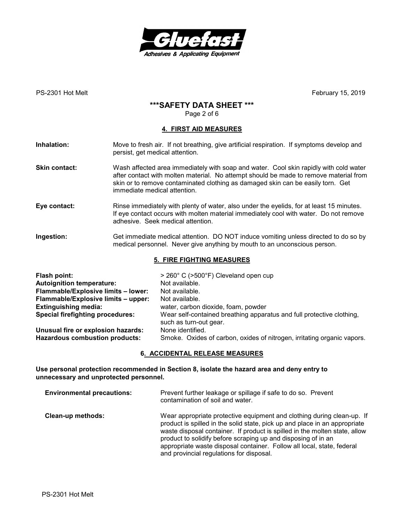

## **\*\*\*SAFETY DATA SHEET \*\*\***

Page 2 of 6

#### **4. FIRST AID MEASURES**

- **Inhalation:** Move to fresh air. If not breathing, give artificial respiration. If symptoms develop and persist, get medical attention.
- **Skin contact:** Wash affected area immediately with soap and water. Cool skin rapidly with cold water after contact with molten material. No attempt should be made to remove material from skin or to remove contaminated clothing as damaged skin can be easily torn. Get immediate medical attention.
- **Eye contact:** Rinse immediately with plenty of water, also under the eyelids, for at least 15 minutes. If eye contact occurs with molten material immediately cool with water. Do not remove adhesive. Seek medical attention.
- **Ingestion:** Get immediate medical attention. DO NOT induce vomiting unless directed to do so by medical personnel. Never give anything by mouth to an unconscious person.

## **5. FIRE FIGHTING MEASURES**

| Flash point:                                                                | > 260° C (>500°F) Cleveland open cup                                                            |
|-----------------------------------------------------------------------------|-------------------------------------------------------------------------------------------------|
| <b>Autoignition temperature:</b>                                            | Not available.                                                                                  |
| Flammable/Explosive limits - lower:                                         | Not available.                                                                                  |
| Flammable/Explosive limits - upper:                                         | Not available.                                                                                  |
| <b>Extinguishing media:</b>                                                 | water, carbon dioxide, foam, powder                                                             |
| <b>Special firefighting procedures:</b>                                     | Wear self-contained breathing apparatus and full protective clothing,<br>such as turn-out gear. |
| Unusual fire or explosion hazards:<br><b>Hazardous combustion products:</b> | None identified.<br>Smoke. Oxides of carbon, oxides of nitrogen, irritating organic vapors.     |

## **6. ACCIDENTAL RELEASE MEASURES**

**Use personal protection recommended in Section 8, isolate the hazard area and deny entry to unnecessary and unprotected personnel.** 

| <b>Environmental precautions:</b> | Prevent further leakage or spillage if safe to do so. Prevent<br>contamination of soil and water.                                                                                                                                                                                                                                                                                                                         |
|-----------------------------------|---------------------------------------------------------------------------------------------------------------------------------------------------------------------------------------------------------------------------------------------------------------------------------------------------------------------------------------------------------------------------------------------------------------------------|
| Clean-up methods:                 | Wear appropriate protective equipment and clothing during clean-up. If<br>product is spilled in the solid state, pick up and place in an appropriate<br>waste disposal container. If product is spilled in the molten state, allow<br>product to solidify before scraping up and disposing of in an<br>appropriate waste disposal container. Follow all local, state, federal<br>and provincial regulations for disposal. |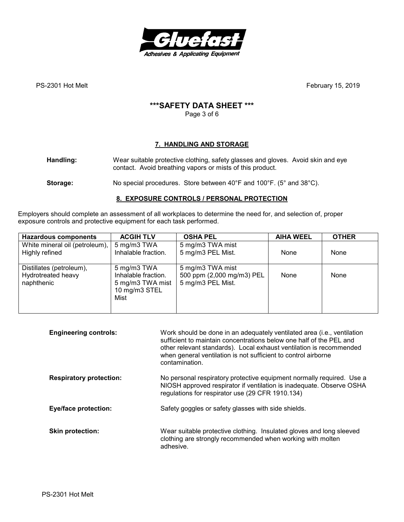

# **\*\*\*SAFETY DATA SHEET \*\*\***

Page 3 of 6

## **7. HANDLING AND STORAGE**

Handling: Wear suitable protective clothing, safety glasses and gloves. Avoid skin and eye contact. Avoid breathing vapors or mists of this product.

Storage: No special procedures. Store between 40°F and 100°F. (5° and 38°C).

## **8. EXPOSURE CONTROLS / PERSONAL PROTECTION**

Employers should complete an assessment of all workplaces to determine the need for, and selection of, proper exposure controls and protective equipment for each task performed.

| <b>Hazardous components</b>                                  | <b>ACGIH TLV</b>                                                                | <b>OSHA PEL</b>                                                    | <b>AIHA WEEL</b> | <b>OTHER</b> |
|--------------------------------------------------------------|---------------------------------------------------------------------------------|--------------------------------------------------------------------|------------------|--------------|
| White mineral oil (petroleum),<br>Highly refined             | 5 mg/m3 TWA<br>Inhalable fraction.                                              | 5 mg/m3 TWA mist<br>5 mg/m3 PEL Mist.                              | None             | None         |
| Distillates (petroleum),<br>Hydrotreated heavy<br>naphthenic | 5 mg/m3 TWA<br>Inhalable fraction.<br>5 mg/m3 TWA mist<br>10 mg/m3 STEL<br>Mist | 5 mg/m3 TWA mist<br>500 ppm (2,000 mg/m3) PEL<br>5 mg/m3 PEL Mist. | None             | None         |

| <b>Engineering controls:</b>   | Work should be done in an adequately ventilated area (i.e., ventilation<br>sufficient to maintain concentrations below one half of the PEL and<br>other relevant standards). Local exhaust ventilation is recommended<br>when general ventilation is not sufficient to control airborne<br>contamination. |
|--------------------------------|-----------------------------------------------------------------------------------------------------------------------------------------------------------------------------------------------------------------------------------------------------------------------------------------------------------|
| <b>Respiratory protection:</b> | No personal respiratory protective equipment normally required. Use a<br>NIOSH approved respirator if ventilation is inadequate. Observe OSHA<br>regulations for respirator use (29 CFR 1910.134)                                                                                                         |
| <b>Eye/face protection:</b>    | Safety goggles or safety glasses with side shields.                                                                                                                                                                                                                                                       |
| <b>Skin protection:</b>        | Wear suitable protective clothing. Insulated gloves and long sleeved<br>clothing are strongly recommended when working with molten<br>adhesive.                                                                                                                                                           |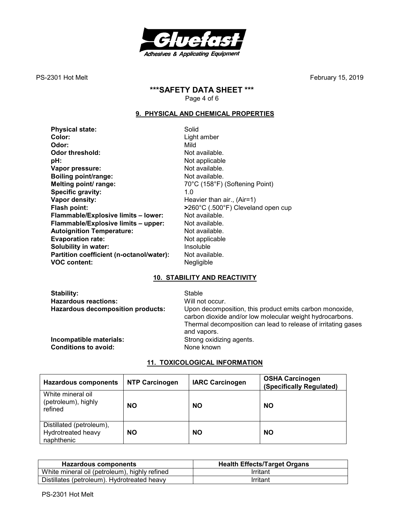

# **\*\*\*SAFETY DATA SHEET \*\*\***

Page 4 of 6

## **9. PHYSICAL AND CHEMICAL PROPERTIES**

| Solid<br>Light amber<br>Mild<br>Not available.                          |
|-------------------------------------------------------------------------|
| Not applicable<br>Not available.                                        |
| Not available.<br>70°C (158°F) (Softening Point)                        |
| 1.0<br>Heavier than air., (Air=1)<br>>260°C (.500°F) Cleveland open cup |
| Not available.<br>Not available.<br>Not available.                      |
| Not applicable<br>Insoluble<br>Not available.<br>Negligible             |
|                                                                         |

## **10. STABILITY AND REACTIVITY**

| Stability:                               | <b>Stable</b>                                                                                                                                                                                       |
|------------------------------------------|-----------------------------------------------------------------------------------------------------------------------------------------------------------------------------------------------------|
| <b>Hazardous reactions:</b>              | Will not occur.                                                                                                                                                                                     |
| <b>Hazardous decomposition products:</b> | Upon decomposition, this product emits carbon monoxide,<br>carbon dioxide and/or low molecular weight hydrocarbons.<br>Thermal decomposition can lead to release of irritating gases<br>and vapors. |
| Incompatible materials:                  | Strong oxidizing agents.                                                                                                                                                                            |
| <b>Conditions to avoid:</b>              | None known                                                                                                                                                                                          |

## **11. TOXICOLOGICAL INFORMATION**

| <b>Hazardous components</b>                                  | <b>NTP Carcinogen</b> | <b>IARC Carcinogen</b> | <b>OSHA Carcinogen</b><br>(Specifically Regulated) |
|--------------------------------------------------------------|-----------------------|------------------------|----------------------------------------------------|
| White mineral oil<br>(petroleum), highly<br>refined          | <b>NO</b>             | <b>NO</b>              | <b>NO</b>                                          |
| Distillated (petroleum),<br>Hydrotreated heavy<br>naphthenic | <b>NO</b>             | <b>NO</b>              | <b>NO</b>                                          |

| Hazardous components                          | <b>Health Effects/Target Organs</b> |
|-----------------------------------------------|-------------------------------------|
| White mineral oil (petroleum), highly refined | Irritant                            |
| Distillates (petroleum). Hydrotreated heavy   | Irritant                            |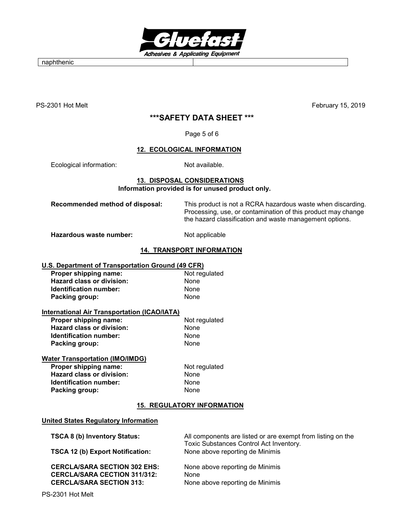

naphthenic

PS-2301 Hot Melt February 15, 2019

# **\*\*\*SAFETY DATA SHEET \*\*\***

Page 5 of 6

## **12. ECOLOGICAL INFORMATION**

Ecological information: Not available.

#### **13. DISPOSAL CONSIDERATIONS Information provided is for unused product only.**

**Recommended method of disposal:** This product is not a RCRA hazardous waste when discarding. Processing, use, or contamination of this product may change the hazard classification and waste management options.

Hazardous waste number: Not applicable

## **14. TRANSPORT INFORMATION**

#### **U.S. Department of Transportation Ground (49 CFR)**

**Proper shipping name:** Not regulated **Hazard class or division:** None **Identification number:** None Packing group: None

## **International Air Transportation (ICAO/IATA)**

| Proper shipping name:         | Not re      |
|-------------------------------|-------------|
| Hazard class or division:     | None.       |
| <b>Identification number:</b> | <b>None</b> |
| Packing group:                | <b>None</b> |

#### **Water Transportation (IMO/IMDG)**

**Proper shipping name:** Not regulated **Hazard class or division:** None **Identification number:** None Packing group: None

**Not regulated** 

## **15. REGULATORY INFORMATION**

#### **United States Regulatory Information**

| <b>TSCA 8 (b) Inventory Status:</b><br><b>TSCA 12 (b) Export Notification:</b> | All components are listed or are exempt from listing on the<br>Toxic Substances Control Act Inventory.<br>None above reporting de Minimis |
|--------------------------------------------------------------------------------|-------------------------------------------------------------------------------------------------------------------------------------------|
| <b>CERCLA/SARA SECTION 302 EHS:</b>                                            | None above reporting de Minimis                                                                                                           |
| <b>CERCLA/SARA CECTION 311/312:</b>                                            | <b>None</b>                                                                                                                               |
| <b>CERCLA/SARA SECTION 313:</b>                                                | None above reporting de Minimis                                                                                                           |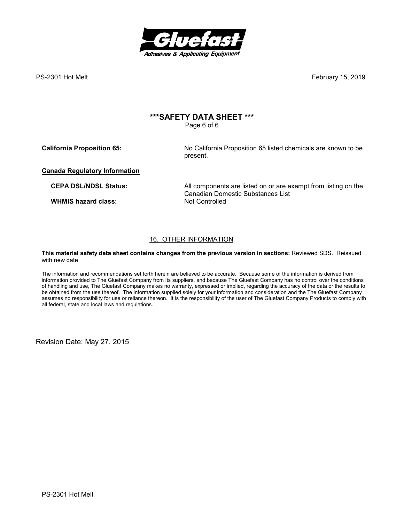

# **\*\*\*SAFETY DATA SHEET \*\*\***

Page 6 of 6

**California Proposition 65:** No California Proposition 65 listed chemicals are known to be present.

**Canada Regulatory Information** 

**WHMIS hazard class:** 

**CEPA DSL/NDSL Status:** All components are listed on or are exempt from listing on the Canadian Domestic Substances List

## 16. OTHER INFORMATION

#### **This material safety data sheet contains changes from the previous version in sections:** Reviewed SDS. Reissued with new date

The information and recommendations set forth herein are believed to be accurate. Because some of the information is derived from information provided to The Gluefast Company from its suppliers, and because The Gluefast Company has no control over the conditions of handling and use, The Gluefast Company makes no warranty, expressed or implied, regarding the accuracy of the data or the results to be obtained from the use thereof. The information supplied solely for your information and consideration and the The Gluefast Company assumes no responsibility for use or reliance thereon. It is the responsibility of the user of The Gluefast Company Products to comply with all federal, state and local laws and regulations.

Revision Date: May 27, 2015